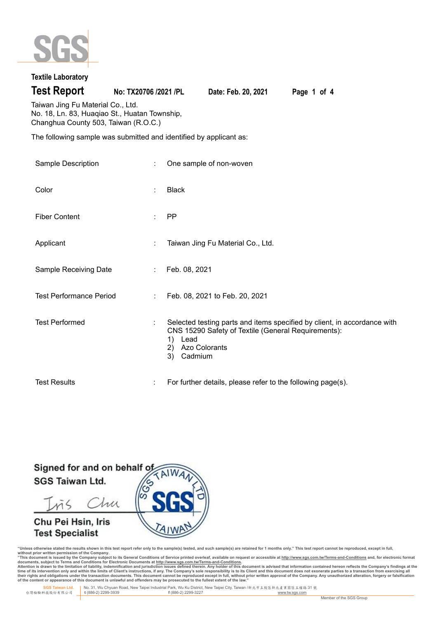

# **Textile Laboratory**

**Test Report No: TX20706 /2021 /PL Date: Feb. 20, 2021 Page 1 of 4**

Taiwan Jing Fu Material Co., Ltd. No. 18, Ln. 83, Huaqiao St., Huatan Township, Changhua County 503, Taiwan (R.O.C.)

The following sample was submitted and identified by applicant as:

| Sample Description             | t. | One sample of non-woven                                                                                                                                                                      |
|--------------------------------|----|----------------------------------------------------------------------------------------------------------------------------------------------------------------------------------------------|
| Color                          | ÷  | <b>Black</b>                                                                                                                                                                                 |
| <b>Fiber Content</b>           | ÷  | PP                                                                                                                                                                                           |
| Applicant                      | ÷  | Taiwan Jing Fu Material Co., Ltd.                                                                                                                                                            |
| Sample Receiving Date          | ÷. | Feb. 08, 2021                                                                                                                                                                                |
| <b>Test Performance Period</b> | ÷  | Feb. 08, 2021 to Feb. 20, 2021                                                                                                                                                               |
| <b>Test Performed</b>          | ÷  | Selected testing parts and items specified by client, in accordance with<br>CNS 15290 Safety of Textile (General Requirements):<br>Lead<br>1)<br><b>Azo Colorants</b><br>2)<br>3)<br>Cadmium |
| <b>Test Results</b>            | ÷  | For further details, please refer to the following page(s).                                                                                                                                  |

Signed for and on behalf o **SGS Taiwan Ltd.** 

Chu mζ

# Chu Pei Hsin, Iris **Test Specialist**



"Unless otherwise stated the results shown in this test report refer only to the sample(s) tested, and such sample(s) are retained for 1 months only." This test report cannot be reproduced, except in full,<br>without prior wr

documents, subject to Terms and Conditions for Electronic Documents at <u>http://www.sqs.com.tw/Terms-and-Conditions</u><br>Attention is drawn to the limitation of liability, indemnification and jurisdiction issues defined threin.

 **SGS Taiwan Ltd.** No. 31, Wu Chyuan Road, New Taipei Industrial Park, Wu Ku District, New Taipei City, Taiwan /新北市五股區新北產業園區五權路 31 號 台灣檢驗科技股份有限公司 **t** (886-2) 2299-3939 **f** (886-2) 2299-3227 www.tw.sgs.com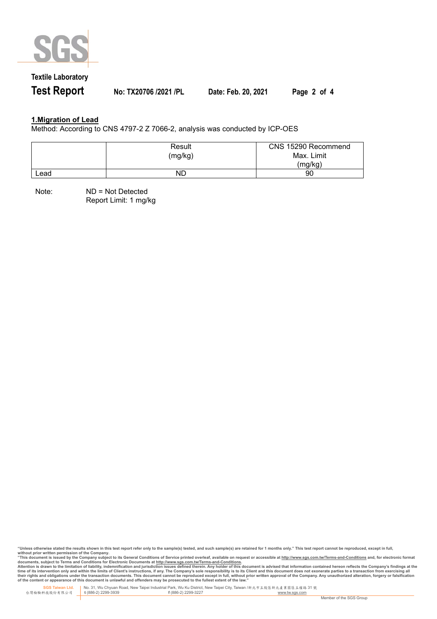

# **Textile Laboratory**

**Test Report No: TX20706 /2021 /PL Date: Feb. 20, 2021 Page 2 of 4**

### **1.Migration of Lead**

Method: According to CNS 4797-2 Z 7066-2, analysis was conducted by ICP-OES

|      | Result<br>(mg/kg) | CNS 15290 Recommend<br>Max. Limit<br>(mg/kg) |
|------|-------------------|----------------------------------------------|
| ∟ead | ND                | 90                                           |

Note: ND = Not Detected Report Limit: 1 mg/kg

"Unless otherwise stated the results shown in this test report refer only to the sample(s) tested, and such sample(s) are retained for 1 months only." This test report cannot be reproduced, except in full,<br>without prior wr

documents, subject to Terms and Conditions for Electronic Documents at <u>http://www.sqs.com.tw/Terms-and-Conditions</u><br>Attention is drawn to the limitation of liability, indemnification and jurisdiction issues defined threin.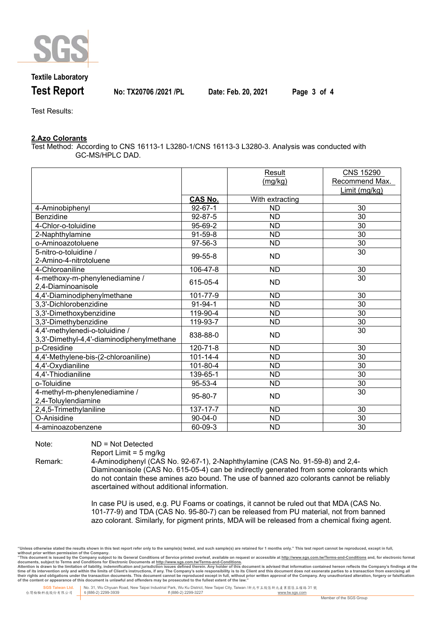

### **Textile Laboratory**

**Test Report No: TX20706 /2021 /PL Date: Feb. 20, 2021 Page 3 of 4**

Test Results:

#### **2.Azo Colorants**

Test Method: According to CNS 16113-1 L3280-1/CNS 16113-3 L3280-3. Analysis was conducted with GC-MS/HPLC DAD.

|                                           |                | Result          | <b>CNS 15290</b> |
|-------------------------------------------|----------------|-----------------|------------------|
|                                           |                | (mg/kg)         | Recommend Max.   |
|                                           |                |                 | Limit (mg/kg)    |
|                                           | <b>CAS No.</b> | With extracting |                  |
| 4-Aminobiphenyl                           | $92 - 67 - 1$  | <b>ND</b>       | 30               |
| Benzidine                                 | 92-87-5        | <b>ND</b>       | 30               |
| 4-Chlor-o-toluidine                       | 95-69-2        | <b>ND</b>       | 30               |
| 2-Naphthylamine                           | $91-59-8$      | <b>ND</b>       | 30               |
| o-Aminoazotoluene                         | 97-56-3        | <b>ND</b>       | 30               |
| 5-nitro-o-toluidine /                     | 99-55-8        | <b>ND</b>       | 30               |
| 2-Amino-4-nitrotoluene                    |                |                 |                  |
| 4-Chloroaniline                           | 106-47-8       | <b>ND</b>       | 30               |
| 4-methoxy-m-phenylenediamine /            | 615-05-4       | <b>ND</b>       | 30               |
| 2,4-Diaminoanisole                        |                |                 |                  |
| 4,4'-Diaminodiphenylmethane               | 101-77-9       | <b>ND</b>       | 30               |
| 3,3'-Dichlorobenzidine                    | $91 - 94 - 1$  | <b>ND</b>       | 30               |
| 3,3'-Dimethoxybenzidine                   | 119-90-4       | <b>ND</b>       | 30               |
| 3,3'-Dimethybenzidine                     | 119-93-7       | <b>ND</b>       | 30               |
| 4,4'-methylenedi-o-toluidine /            | 838-88-0       | <b>ND</b>       | 30               |
| 3,3'-Dimethyl-4,4'-diaminodiphenylmethane |                |                 |                  |
| p-Cresidine                               | 120-71-8       | <b>ND</b>       | 30               |
| 4,4'-Methylene-bis-(2-chloroaniline)      | $101 - 14 - 4$ | <b>ND</b>       | 30               |
| 4,4'-Oxydianiline                         | 101-80-4       | <b>ND</b>       | 30               |
| 4,4'-Thiodianiline                        | 139-65-1       | <b>ND</b>       | 30               |
| o-Toluidine                               | 95-53-4        | <b>ND</b>       | 30               |
| 4-methyl-m-phenylenediamine /             |                | <b>ND</b>       | 30               |
| 2,4-Toluylendiamine                       | 95-80-7        |                 |                  |
| 2,4,5-Trimethylaniline                    | 137-17-7       | <b>ND</b>       | 30               |
| O-Anisidine                               | $90 - 04 - 0$  | <b>ND</b>       | 30               |
| 4-aminoazobenzene                         | 60-09-3        | <b>ND</b>       | 30               |

Note: ND = Not Detected

Report Limit = 5 mg/kg

Remark: 4-Aminodiphenyl (CAS No. 92-67-1), 2-Naphthylamine (CAS No. 91-59-8) and 2,4- Diaminoanisole (CAS No. 615-05-4) can be indirectly generated from some colorants which do not contain these amines azo bound. The use of banned azo colorants cannot be reliably ascertained without additional information.

> In case PU is used, e.g. PU Foams or coatings, it cannot be ruled out that MDA (CAS No. 101-77-9) and TDA (CAS No. 95-80-7) can be released from PU material, not from banned azo colorant. Similarly, for pigment prints, MDA will be released from a chemical fixing agent.

"Unless otherwise stated the results shown in this test report refer only to the sample(s) tested, and such sample(s) are retained for 1 months only." This test report cannot be reproduced, except in full,<br>without prior wr

documents, subject to Terms and Conditions for Electronic Documents at <u>http://www.sqs.com.tw/Terms-and-Conditions</u><br>Attention is drawn to the limitation of liability, indemnification and jurisdiction issues defined threin.